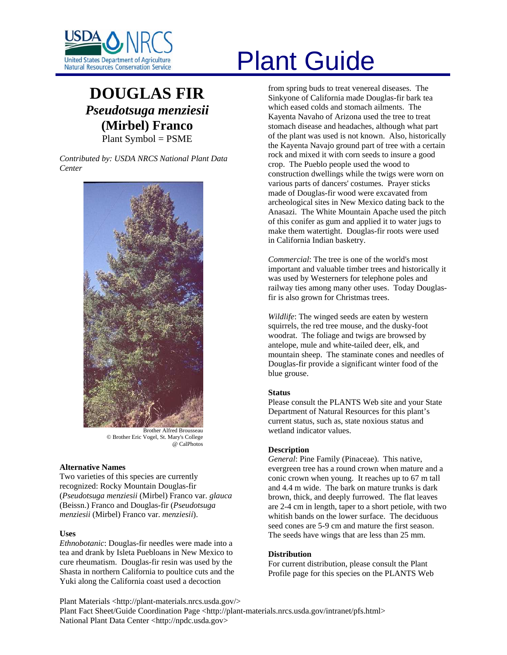

# **DOUGLAS FIR** *Pseudotsuga menziesii* **(Mirbel) Franco**  Plant Symbol = PSME

*Contributed by: USDA NRCS National Plant Data Center* 



Brother Alfred Brousseau © Brother Eric Vogel, St. Mary's College @ CalPhotos

# **Alternative Names**

Two varieties of this species are currently recognized: Rocky Mountain Douglas-fir (*Pseudotsuga menziesii* (Mirbel) Franco var. *glauca* (Beissn.) Franco and Douglas-fir (*Pseudotsuga menziesii* (Mirbel) Franco var. *menziesii*).

#### **Uses**

*Ethnobotanic*: Douglas-fir needles were made into a tea and drank by Isleta Puebloans in New Mexico to cure rheumatism. Douglas-fir resin was used by the Shasta in northern California to poultice cuts and the Yuki along the California coast used a decoction

# United States Department of Agriculture<br>Natural Resources Conservation Service

from spring buds to treat venereal diseases. The Sinkyone of California made Douglas-fir bark tea which eased colds and stomach ailments. The Kayenta Navaho of Arizona used the tree to treat stomach disease and headaches, although what part of the plant was used is not known. Also, historically the Kayenta Navajo ground part of tree with a certain rock and mixed it with corn seeds to insure a good crop. The Pueblo people used the wood to construction dwellings while the twigs were worn on various parts of dancers' costumes. Prayer sticks made of Douglas-fir wood were excavated from archeological sites in New Mexico dating back to the Anasazi. The White Mountain Apache used the pitch of this conifer as gum and applied it to water jugs to make them watertight. Douglas-fir roots were used in California Indian basketry.

*Commercial*: The tree is one of the world's most important and valuable timber trees and historically it was used by Westerners for telephone poles and railway ties among many other uses. Today Douglasfir is also grown for Christmas trees.

*Wildlife*: The winged seeds are eaten by western squirrels, the red tree mouse, and the dusky-foot woodrat. The foliage and twigs are browsed by antelope, mule and white-tailed deer, elk, and mountain sheep. The staminate cones and needles of Douglas-fir provide a significant winter food of the blue grouse.

# **Status**

Please consult the PLANTS Web site and your State Department of Natural Resources for this plant's current status, such as, state noxious status and wetland indicator values.

# **Description**

*General*: Pine Family (Pinaceae). This native, evergreen tree has a round crown when mature and a conic crown when young. It reaches up to 67 m tall and 4.4 m wide. The bark on mature trunks is dark brown, thick, and deeply furrowed. The flat leaves are 2-4 cm in length, taper to a short petiole, with two whitish bands on the lower surface. The deciduous seed cones are 5-9 cm and mature the first season. The seeds have wings that are less than 25 mm.

# **Distribution**

For current distribution, please consult the Plant Profile page for this species on the PLANTS Web

Plant Materials <http://plant-materials.nrcs.usda.gov/> Plant Fact Sheet/Guide Coordination Page <http://plant-materials.nrcs.usda.gov/intranet/pfs.html> National Plant Data Center <http://npdc.usda.gov>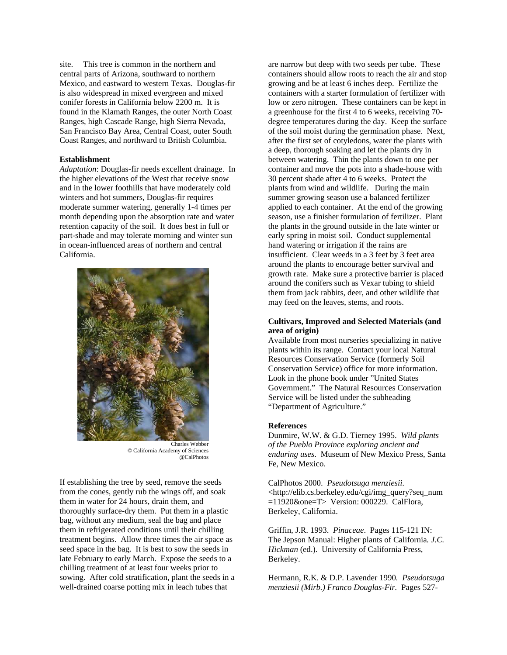site. This tree is common in the northern and central parts of Arizona, southward to northern Mexico, and eastward to western Texas. Douglas-fir is also widespread in mixed evergreen and mixed conifer forests in California below 2200 m. It is found in the Klamath Ranges, the outer North Coast Ranges, high Cascade Range, high Sierra Nevada, San Francisco Bay Area, Central Coast, outer South Coast Ranges, and northward to British Columbia.

#### **Establishment**

*Adaptation*: Douglas-fir needs excellent drainage. In the higher elevations of the West that receive snow and in the lower foothills that have moderately cold winters and hot summers, Douglas-fir requires moderate summer watering, generally 1-4 times per month depending upon the absorption rate and water retention capacity of the soil. It does best in full or part-shade and may tolerate morning and winter sun in ocean-influenced areas of northern and central California.



Charles Webber © California Academy of Sciences @CalPhotos

If establishing the tree by seed, remove the seeds from the cones, gently rub the wings off, and soak them in water for 24 hours, drain them, and thoroughly surface-dry them. Put them in a plastic bag, without any medium, seal the bag and place them in refrigerated conditions until their chilling treatment begins. Allow three times the air space as seed space in the bag. It is best to sow the seeds in late February to early March. Expose the seeds to a chilling treatment of at least four weeks prior to sowing. After cold stratification, plant the seeds in a well-drained coarse potting mix in leach tubes that

are narrow but deep with two seeds per tube. These containers should allow roots to reach the air and stop growing and be at least 6 inches deep. Fertilize the containers with a starter formulation of fertilizer with low or zero nitrogen. These containers can be kept in a greenhouse for the first 4 to 6 weeks, receiving 70 degree temperatures during the day. Keep the surface of the soil moist during the germination phase. Next, after the first set of cotyledons, water the plants with a deep, thorough soaking and let the plants dry in between watering. Thin the plants down to one per container and move the pots into a shade-house with 30 percent shade after 4 to 6 weeks. Protect the plants from wind and wildlife. During the main summer growing season use a balanced fertilizer applied to each container. At the end of the growing season, use a finisher formulation of fertilizer. Plant the plants in the ground outside in the late winter or early spring in moist soil. Conduct supplemental hand watering or irrigation if the rains are insufficient. Clear weeds in a 3 feet by 3 feet area around the plants to encourage better survival and growth rate. Make sure a protective barrier is placed around the conifers such as Vexar tubing to shield them from jack rabbits, deer, and other wildlife that may feed on the leaves, stems, and roots.

### **Cultivars, Improved and Selected Materials (and area of origin)**

Available from most nurseries specializing in native plants within its range. Contact your local Natural Resources Conservation Service (formerly Soil Conservation Service) office for more information. Look in the phone book under "United States Government." The Natural Resources Conservation Service will be listed under the subheading "Department of Agriculture."

#### **References**

Dunmire, W.W. & G.D. Tierney 1995. *Wild plants of the Pueblo Province exploring ancient and enduring uses*. Museum of New Mexico Press, Santa Fe, New Mexico.

CalPhotos 2000. *Pseudotsuga menziesii*. <http://elib.cs.berkeley.edu/cgi/img\_query?seq\_num =11920&one=T> Version: 000229. CalFlora, Berkeley, California.

Griffin, J.R. 1993. *Pinaceae*. Pages 115-121 IN: The Jepson Manual: Higher plants of California*. J.C. Hickman* (ed.)*.* University of California Press, Berkeley.

Hermann, R.K. & D.P. Lavender 1990*. Pseudotsuga menziesii (Mirb.) Franco Douglas-Fir.* Pages 527